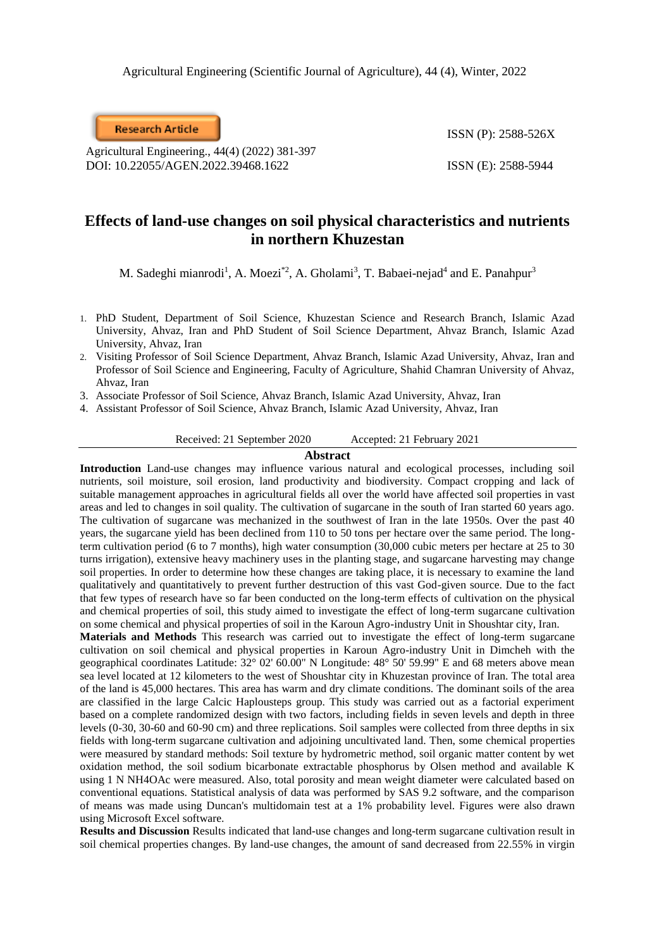**Research Article** 

Agricultural Engineering., 44(4) (2022) 381-397 DOI: 10.22055/AGEN.2022.39468.1622 ISSN (E): 2588-5944

ISSN (P): 2588-526X

## **Effects of land-use changes on soil physical characteristics and nutrients in northern Khuzestan**

M. Sadeghi mianrodi<sup>1</sup>, A. Moezi<sup>\*2</sup>, A. Gholami<sup>3</sup>, T. Babaei-nejad<sup>4</sup> and E. Panahpur<sup>3</sup>

- 1. PhD Student, Department of Soil Science, Khuzestan Science and Research Branch, Islamic Azad University, Ahvaz, Iran and PhD Student of Soil Science Department, Ahvaz Branch, Islamic Azad University, Ahvaz, Iran
- 2. Visiting Professor of Soil Science Department, Ahvaz Branch, Islamic Azad University, Ahvaz, Iran and Professor of Soil Science and Engineering, Faculty of Agriculture, Shahid Chamran University of Ahvaz, Ahvaz, Iran

3. Associate Professor of Soil Science, Ahvaz Branch, Islamic Azad University, Ahvaz, Iran

4. Assistant Professor of Soil Science, Ahvaz Branch, Islamic Azad University, Ahvaz, Iran

Received: 21 September 2020 Accepted: 21 February 2021

### **Abstract**

**Introduction** Land-use changes may influence various natural and ecological processes, including soil nutrients, soil moisture, soil erosion, land productivity and biodiversity. Compact cropping and lack of suitable management approaches in agricultural fields all over the world have affected soil properties in vast areas and led to changes in soil quality. The cultivation of sugarcane in the south of Iran started 60 years ago. The cultivation of sugarcane was mechanized in the southwest of Iran in the late 1950s. Over the past 40 years, the sugarcane yield has been declined from 110 to 50 tons per hectare over the same period. The longterm cultivation period (6 to 7 months), high water consumption (30,000 cubic meters per hectare at 25 to 30 turns irrigation), extensive heavy machinery uses in the planting stage, and sugarcane harvesting may change soil properties. In order to determine how these changes are taking place, it is necessary to examine the land qualitatively and quantitatively to prevent further destruction of this vast God-given source. Due to the fact that few types of research have so far been conducted on the long-term effects of cultivation on the physical and chemical properties of soil, this study aimed to investigate the effect of long-term sugarcane cultivation on some chemical and physical properties of soil in the Karoun Agro-industry Unit in Shoushtar city, Iran.

**Materials and Methods** This research was carried out to investigate the effect of long-term sugarcane cultivation on soil chemical and physical properties in Karoun Agro-industry Unit in Dimcheh with the geographical coordinates Latitude: 32° 02' 60.00" N Longitude: 48° 50' 59.99" E and 68 meters above mean sea level located at 12 kilometers to the west of Shoushtar city in Khuzestan province of Iran. The total area of the land is 45,000 hectares. This area has warm and dry climate conditions. The dominant soils of the area are classified in the large Calcic Haplousteps group. This study was carried out as a factorial experiment based on a complete randomized design with two factors, including fields in seven levels and depth in three levels (0-30, 30-60 and 60-90 cm) and three replications. Soil samples were collected from three depths in six fields with long-term sugarcane cultivation and adjoining uncultivated land. Then, some chemical properties were measured by standard methods: Soil texture by hydrometric method, soil organic matter content by wet oxidation method, the soil sodium bicarbonate extractable phosphorus by Olsen method and available K using 1 N NH4OAc were measured. Also, total porosity and mean weight diameter were calculated based on conventional equations. Statistical analysis of data was performed by SAS 9.2 software, and the comparison of means was made using Duncan's multidomain test at a 1% probability level. Figures were also drawn using Microsoft Excel software.

**Results and Discussion** Results indicated that land-use changes and long-term sugarcane cultivation result in soil chemical properties changes. By land-use changes, the amount of sand decreased from 22.55% in virgin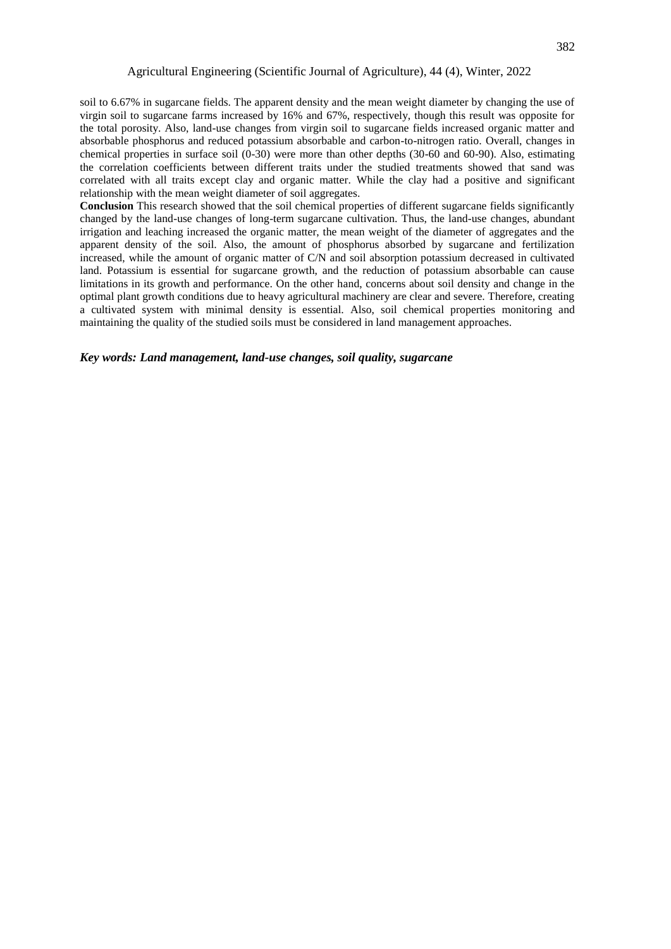#### Agricultural Engineering (Scientific Journal of Agriculture), 44 (4), Winter, 2022

soil to 6.67% in sugarcane fields. The apparent density and the mean weight diameter by changing the use of virgin soil to sugarcane farms increased by 16% and 67%, respectively, though this result was opposite for the total porosity. Also, land-use changes from virgin soil to sugarcane fields increased organic matter and absorbable phosphorus and reduced potassium absorbable and carbon-to-nitrogen ratio. Overall, changes in chemical properties in surface soil (0-30) were more than other depths (30-60 and 60-90). Also, estimating the correlation coefficients between different traits under the studied treatments showed that sand was correlated with all traits except clay and organic matter. While the clay had a positive and significant relationship with the mean weight diameter of soil aggregates.

**Conclusion** This research showed that the soil chemical properties of different sugarcane fields significantly changed by the land-use changes of long-term sugarcane cultivation. Thus, the land-use changes, abundant irrigation and leaching increased the organic matter, the mean weight of the diameter of aggregates and the apparent density of the soil. Also, the amount of phosphorus absorbed by sugarcane and fertilization increased, while the amount of organic matter of C/N and soil absorption potassium decreased in cultivated land. Potassium is essential for sugarcane growth, and the reduction of potassium absorbable can cause limitations in its growth and performance. On the other hand, concerns about soil density and change in the optimal plant growth conditions due to heavy agricultural machinery are clear and severe. Therefore, creating a cultivated system with minimal density is essential. Also, soil chemical properties monitoring and maintaining the quality of the studied soils must be considered in land management approaches.

### *Key words: Land management, land-use changes, soil quality, sugarcane*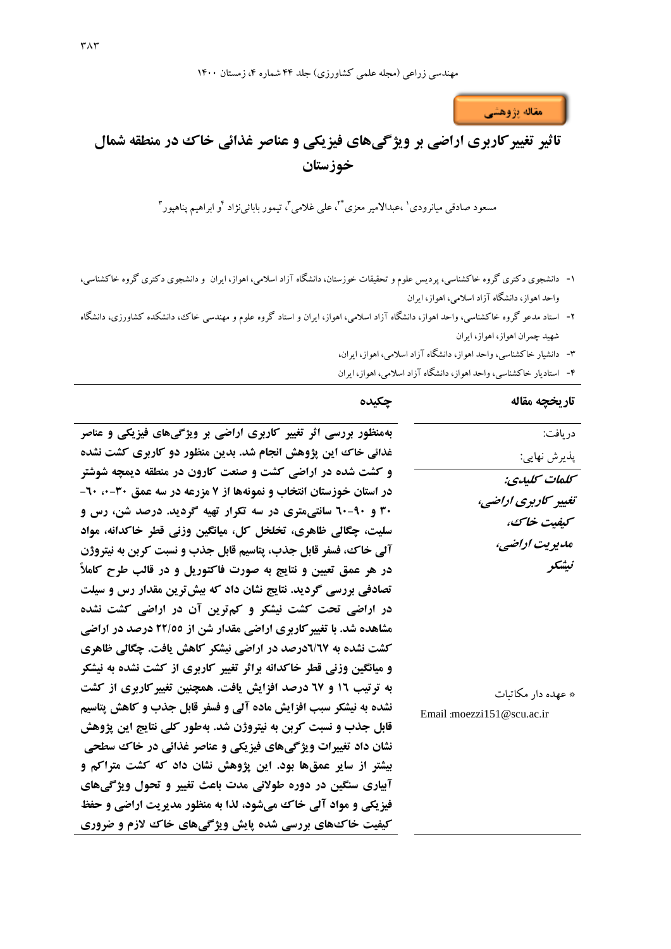

# **تاثیر تغییرکاربري اراضی بر ویژگیهاي فیزیکی و عناصر غذائی خاك در منطقه شمال خوزستان**

مسعود صادقی میانرودی<sup>٬</sup> ،عبدالامیر معزی \*<sup>۲</sup>، علی غلامی<sup>۳</sup>، تیمور بابائینژاد <sup>۶</sup>و ابراهیم پناهپور<sup>۳</sup>

- -1 دانشجوی دکتری گروه خاکشناسی، پردیس علوم و تحقیقات خوزستان، دانشگاه آزاد اسالمی، اهواز، ایران و دانشجوی دکتری گروه خاکشناسی، واحد اهواز، دانشگاه آزاد اسالمی، اهواز، ایران
- -2 استاد مدعو گروه خاکشناسی، واحد اهواز، دانشگاه آزاد اسالمی، اهواز، ایران و استاد گروه علوم و مهندسی خاك، دانشکده کشاورزی، دانشگاه شهید چمران اهواز، اهواز، ایران
	- -3 دانشیار خاکشناسی، واحد اهواز، دانشگاه آزاد اسالمی، اهواز، ایران،
	- -4 استادیار خاکشناسی، واحد اهواز، دانشگاه آزاد اسالمی، اهواز، ایران

| چکیده                                                              | تار تخچه مقاله            |
|--------------------------------------------------------------------|---------------------------|
| بهمنظور بررسی اثر تغییر کاربری اراضی بر ویژگیهای فیزیکی و عناصر    | دريافت:                   |
| غذائی خاک این پژوهش انجام شد. بدین منظور دو کاربری کشت نشده        | پذيرش نهايي:              |
| و کشت شده در اراضی کشت و صنعت کارون در منطقه دیمچه شوشتر           | كىلمات كىلىدى:            |
| در استان خوزستان انتخاب و نمونهها از ۷ مزرعه در سه عمق ۳۰-۰، ۲۰-   | تغییر کاربری اراضی،       |
| ۳۰ و ۹۰-۲۰ سانتی متری در سه تکرار تهیه گردید. درصد شن، رس و        | كيفيت خاك،                |
| سلیت، چگالی ظاهری، تخلخل کل، میانگین وزنی قطر خاکدانه، مواد        | مديريت اراضي،             |
| آلی خاک، فسفر قابل جذب، پتاسیم قابل جذب و نسبت کربن به نیتروژن     |                           |
| در هر عمق تعیین و نتایج به صورت فاکتوریل و در قالب طرح کاملاً      | نيشكر                     |
| تصادفی بررسی گردید. نتایج نشان داد که بیش ترین مقدار رس و سیلت     |                           |
| در اراضی تحت کشت نیشکر و کم ترین آن در اراضی کشت نشده              |                           |
| مشاهده شد. با تغییر کاربری اراضی مقدار شن از ۲۲/٥٥ درصد در اراضی   |                           |
| کشت نشده به ٦٧/٢درصد در اراضی نیشکر کاهش یافت. چگالی ظاهری         |                           |
| و میانگین وزنی قطر خاکدانه براثر تغییر کاربری از کشت نشده به نیشکر |                           |
| به ترتیب ۱۲ و ۲۷ درصد افزایش یافت. همچنین تغییر کاربری از کشت      | * عهده دار مکاتبات        |
| نشده به نیشکر سبب افزایش ماده آلی و فسفر قابل جذب و کاهش پتاسیم    | Email moezzi151@scu.ac.ir |
| قابل جذب و نسبت کربن به نیتروژن شد. بهطور کلی نتایج این پژوهش      |                           |
| نشان داد تغییرات ویژگیهای فیزیکی و عناصر غذائی در خاک سطحی         |                           |
| بیشتر از سایر عمقها بود. این پژوهش نشان داد که کشت متراکم و        |                           |
| آبیاری سنگین در دوره طولانی مدت باعث تغییر و تحول ویژ گیهای        |                           |
| فیزیکی و مواد آلی خاک میشود، لذا به منظور مدیریت اراضی و حفظ       |                           |
| کیفیت خاک&ای بررسی شده پایش ویژگیهای خاک لازم و ضروری              |                           |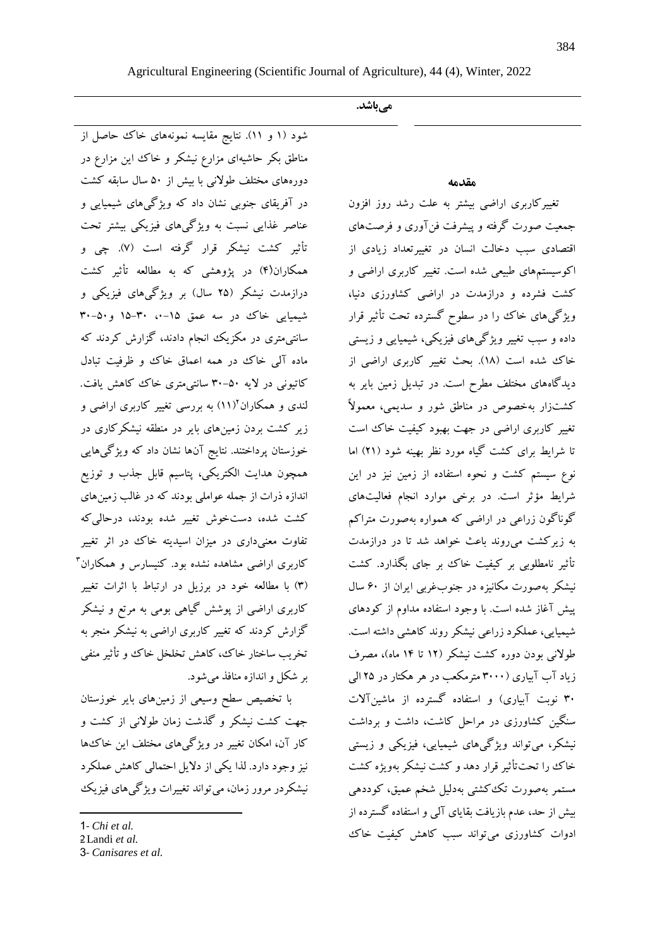| Agricultural Engineering (Scientific Journal of Agriculture), 44 (4), Winter, 2022 |  |  |  |  |  |  |
|------------------------------------------------------------------------------------|--|--|--|--|--|--|
|                                                                                    |  |  |  |  |  |  |

**میباشد.**

### **مقدمه**

تغییرکاربری اراضی بیشتر به علت رشد روز افزون جمعیت صورت گرفته و پیشرفت فنآوری و فرصتهای اقتصادی سبب دخالت انسان در تغییرتعداد زیادی از اکوسیستمهای طبیعی شده است. تغییر کاربری اراضی و کشت فشرده و درازمدت در اراضی کشاورزی دنیا، ویژگیهای خاك را در سطوح گسترده تحت تأثیر قرار داده و سبب تغییر ویژگیهای فیزیکی، شیمیایی و زیستی خاك شده است )18(. بحث تغییر کاربری اراضی از دیدگاههای مختلف مطرح است. در تبدیل زمین بایر به کشتزار بهخصوص در مناطق شور و سدیمی، معموالً تغییر کاربری اراضی در جهت بهبود کیفیت خاك است تا شرایط برای کشت گیاه مورد نظر بهینه شود )21( اما نوع سیستم کشت و نحوه استفاده از زمین نیز در این شرایط مؤثر است. در برخی موارد انجام فعالیتهای گوناگون زراعی در اراضی که همواره بهصورت متراکم به زیرکشت میروند باعث خواهد شد تا در درازمدت تأثیر نامطلوبی بر کیفیت خاك بر جای بگذارد. کشت نیشکر بهصورت مکانیزه در جنوبغربی ایران از 60 سال پیش آغاز شده است. با وجود استفاده مداوم از کودهای شیمیایی، عملکرد زراعی نیشکر روند کاهشی داشته است. طوالنی بودن دوره کشت نیشکر )12 تا 14 ماه(، مصرف زیاد آب آبیاری )3000 مترمکعب در هر هکتار در 25 الی ۳۰ نوبت آبیاری) و استفاده گسترده از ماشینآلات سنگین کشاورزی در مراحل کاشت، داشت و برداشت نیشکر، میتواند ویژگیهای شیمیایی، فیزیکی و زیستی خاك را تحتتأثیر قرار دهد و کشت نیشکر بهویژه کشت مستمر بهصورت تککشتی بهدلیل شخم عمیق، کوددهی بیش از حد، عدم بازیافت بقایای آلی و استفاده گسترده از ادوات کشاورزی میتواند سبب کاهش کیفیت خاك

شود )1 و 11(. نتایج مقایسه نمونههای خاك حاصل از مناطق بکر حاشیهای مزارع نیشکر و خاك این مزارع در دورههای مختلف طوالنی با بیش از 50 سال سابقه کشت در آفریقای جنوبی نشان داد که ویژگیهای شیمیایی و عناصر غذایی نسبت به ویژگیهای فیزیکی بیشتر تحت تأثیر کشت نیشکر قرار گرفته است )7(. چی و همکاران(۴) در پژوهشی که به مطالعه تأثیر کشت درازمدت نیشکر )25 سال( بر ویژگیهای فیزیکی و شیمیایی خاك در سه عمق ۱۵-۰، ۳۰-۱۵ و۵۰-۳۰ سانتیمتری در مکزیک انجام دادند، گزارش کردند که ماده آلی خاك در همه اعماق خاك و ظرفیت تبادل کاتیونی در الیه 30-50 سانتیمتری خاك کاهش یافت. لندی و همکاران<sup>۱</sup>(۱۱) به بررسی تغییر کاربری اراضی و زیر کشت بردن زمینهای بایر در منطقه نیشکرکاری در خوزستان پرداختند. نتایج آنها نشان داد که ویژگیهایی همچون هدایت الکتریکی، پتاسیم قابل جذب و توزیع اندازه ذرات از جمله عواملی بودند که در غالب زمینهای کشت شده، دستخوش تغییر شده بودند، درحالیکه تفاوت معنیداری در میزان اسیدیته خاك در اثر تغییر <sup>3</sup> کاربری اراضی مشاهده نشده بود. کنیسارس و همکاران )3( با مطالعه خود در برزیل در ارتباط با اثرات تغییر کاربری اراضی از پوشش گیاهی بومی به مرتع و نیشکر گزارش کردند که تغییر کاربری اراضی به نیشکر منجر به تخریب ساختار خاك، کاهش تخلخل خاك و تأثیر منفی بر شکل و اندازه منافذ میشود.

با تخصیص سطح وسیعی از زمینهای بایر خوزستان جهت کشت نیشکر و گذشت زمان طوالنی از کشت و کار آن، امکان تغییر در ویژگیهای مختلف این خاكها نیز وجود دارد. لذا یکی از دالیل احتمالی کاهش عملکرد نیشکردر مرور زمان، میتواند تغییرات ویژگیهای فیزیک

 $\overline{a}$ 

<sup>1</sup>*- Chi et al.*

<sup>2</sup>Landi et al.

<sup>3</sup>- *Canisares et al.*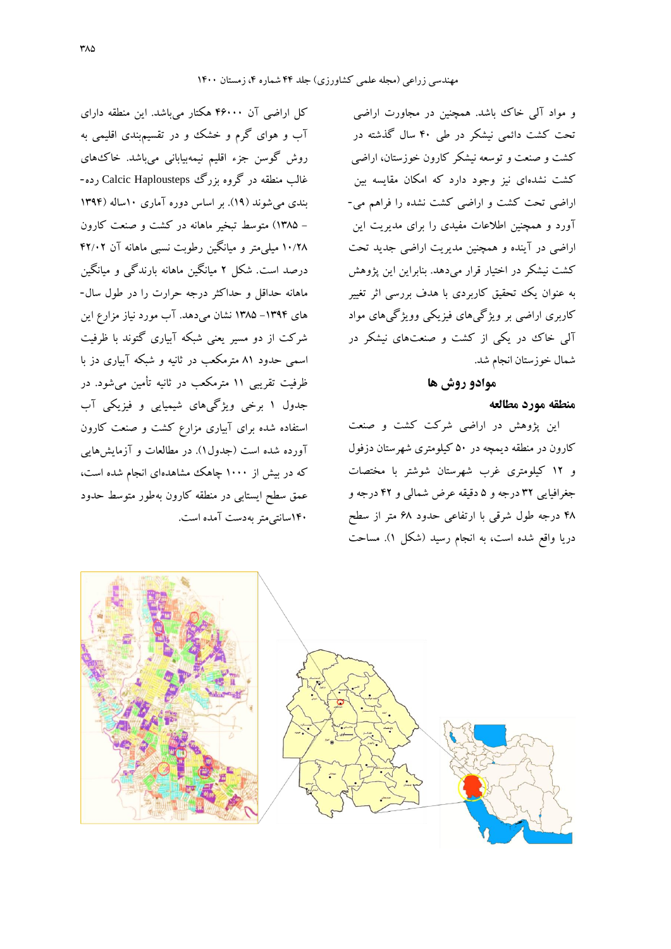و مواد آلی خاك باشد. همچنین در مجاورت اراضی تحت کشت دائمی نیشکر در طی 40 سال گذشته در کشت و صنعت و توسعه نیشکر کارون خوزستان، اراضی کشت نشدهای نیز وجود دارد که امکان مقایسه بین اراضی تحت کشت و اراضی کشت نشده را فراهم می- آورد و همچنین اطالعات مفیدی را برای مدیریت این اراضی در آینده و همچنین مدیریت اراضی جدید تحت کشت نیشکر در اختیار قرار میدهد. بنابراین این پژوهش به عنوان یک تحقیق کاربردی با هدف بررسی اثر تغییر کاربری اراضی بر ویژگیهای فیزیکی وویژگیهای مواد آلی خاك در یکی از کشت و صنعتهای نیشکر در شمال خوزستان انجام شد.

### **موادو روش ها**

### **منطقه مورد مطالعه**

این پژوهش در اراضی شرکت کشت و صنعت کارون در منطقه دیمچه در 50 کیلومتری شهرستان دزفول و 12 کیلومتری غرب شهرستان شوشتر با مختصات جغرافیایی 32 درجه و 5 دقیقه عرض شمالی و 42 درجه و 48 درجه طول شرقی با ارتفاعی حدود 68 متر از سطح دریا واقع شده است، به انجام رسید )شکل 1(. مساحت

کل اراضی آن 46000 هکتار میباشد. این منطقه دارای آب و هوای گرم و خشک و در تقسیمبندی اقلیمی به روش گوسن جزء اقلیم نیمهبیابانی میباشد. خاكهای غالب منطقه در گروه بزرگ Haplousteps Calcic رده- بندی میشوند )19(. بر اساس دوره آماری 10ساله )1394 - 1385( متوسط تبخیر ماهانه در کشت و صنعت کارون 10/28 میلیمتر و میانگین رطوبت نسبی ماهانه آن 42/02 درصد است. شکل 2 میانگین ماهانه بارندگی و میانگین ماهانه حداقل و حداکثر درجه حرارت را در طول سال- های -1394 1385 نشان میدهد. آب مورد نیاز مزارع این شرکت از دو مسیر یعنی شبکه آبیاری گتوند با ظرفیت اسمی حدود 81 مترمکعب در ثانیه و شبکه آبیاری دز با ظرفیت تقریبی 11 مترمکعب در ثانیه تأمین میشود. در جدول 1 برخی ویژگیهای شیمیایی و فیزیکی آب استفاده شده برای آبیاری مزارع کشت و صنعت کارون آورده شده است )جدول1(. در مطالعات و آزمایشهایی که در بیش از ۱۰۰۰ چاهک مشاهدهای انجام شده است، عمق سطح ایستابی در منطقه کارون بهطور متوسط حدود 140سانتیمتر بهدست آمده است.

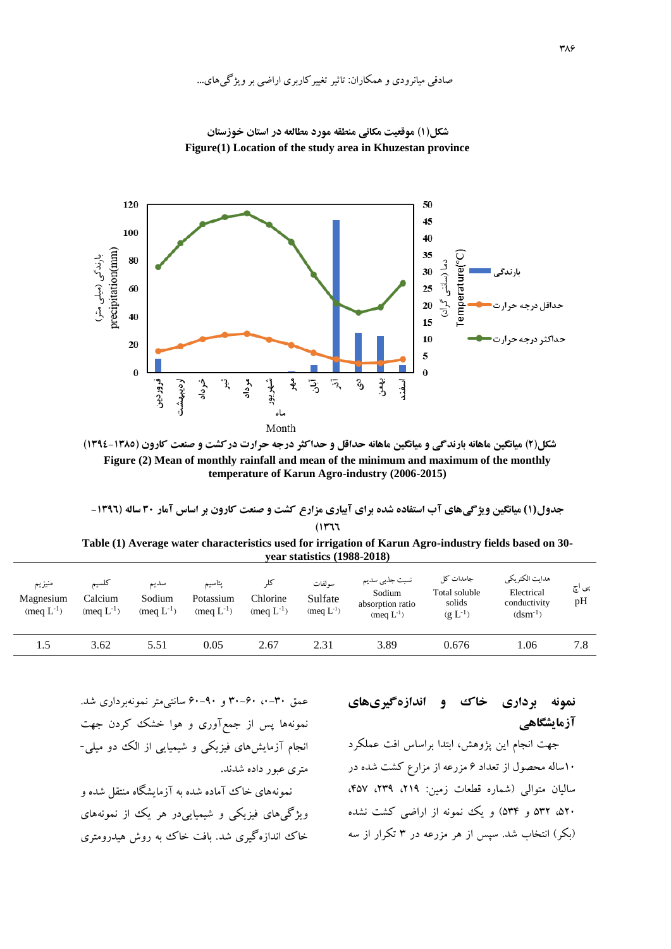## صادقی میانرودی و همکاران: تاثیر تغییرکاربری اراضی بر ویژگیهای...



**شکل)1( موقعیت مکانی منطقه مورد مطالعه در استان خوزستان Figure(1) Location of the study area in Khuzestan province**



**جدول(1) میانگین ویژگیهاي آب استفاده شده براي آبیاري مزارع کشت و صنعت کارون بر اساس آمار 30 ساله )-1396 )1366**

**Table (1) Average water characteristics used for irrigation of Karun Agro-industry fields based on 30 year statistics (1988-2018)**

| منيزيم<br>Magnesium<br>(meg $L^{-1}$ ) | تلسيم<br>Calcium<br>(meg $L^{-1}$ ) | سديم<br>Sodium<br>(meg $L^{-1}$ ) | يتاسيم<br>Potassium<br>(meg $L^{-1}$ ) | Chlorine<br>(meg $L^{-1}$ ) | سو لفات<br>Sulfate<br>(meq $L^{-1}$ ) | نسبت جذبي سديم<br>Sodium<br>absorption ratio<br>(meg $L^{-1}$ ) | جامدات کل<br>Total soluble<br>solids<br>$(g L^{-1})$ | هدايت الكتريكي<br>Electrical<br>conductivity<br>$(dsm^{-1})$ | پی اچ<br>pH |
|----------------------------------------|-------------------------------------|-----------------------------------|----------------------------------------|-----------------------------|---------------------------------------|-----------------------------------------------------------------|------------------------------------------------------|--------------------------------------------------------------|-------------|
| 1.5                                    | 3.62                                | 5.51                              | 0.05                                   | 2.67                        | 2.31                                  | 3.89                                                            | 0.676                                                | l.06                                                         | 7.8         |

## **نمونه برداري خاك و اندازهگیريهاي آزمایشگاهی**

جهت انجام این پژوهش، ابتدا براساس افت عملکرد 10ساله محصول از تعداد 6 مزرعه از مزارع کشت شده در سالیان متوالی )شماره قطعات زمین: ،219 ،239 ،457 ۵۲۰، ۵۳۲ و ۵۳۴) و یک نمونه از اراضی کشت نشده )بکر( انتخاب شد. سپس از هر مزرعه در 3 تکرار از سه

انجام آزمایشهای فیزیکی و شیمیایی از الک دو میلی- متری عبور داده شدند. نمونههای خاك آماده شده به آزمایشگاه منتقل شده و ویژگیهای فیزیکی و شیمیاییدر هر یک از نمونههای خاك اندازهگیری شد. بافت خاك به روش هیدرومتری

عمق ،0-30 30-60 و 60-90 سانتیمتر نمونهبرداری شد.

نمونهها پس از جمعآوری و هوا خشک کردن جهت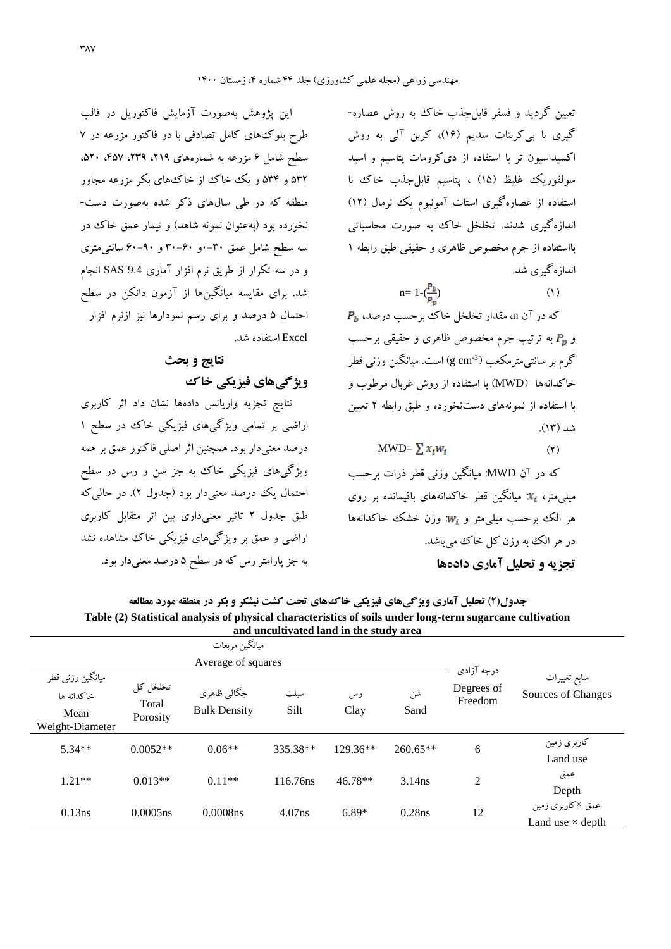تعیین گردید و فسفر قابل جذب خاك به روش عصاره-گیری با بیکربنات سدیم )16(، کربن آلی به روش اکسیداسیون تر با استفاده از دیکرومات پتاسیم و اسید سولفوریک غلیظ (١۵) ، پتاسیم قابلِ جذب خاك با استفاده از عصارهگیری استات آمونیوم یک نرمال (١٢) اندازهگیری شدند. تخلخل خاك به صورت محاسباتی بااستفاده از جرم مخصوص ظاهری و حقیقی طبق رابطه 1 اندازهگیری شد.

$$
n=1-(\frac{P_b}{P_p})\tag{1}
$$

 $P_b$  که در آن n، مقدار تخلخل خاك برحسب درصد، و به ترتیب جرم مخصوص ظاهری و حقیقی برحسب گرم بر سانتی0مترمکعب (3 g cm ) است. میانگین وزنی قطر خاکدانهها )MWD )با استفاده از روش غربال مرطوب و با استفاده از نمونههای دستنخورده و طبق رابطه 2 تعیین شد (۱۳).

 $MWD = \sum x_i w_i$  (۲)

که در آن MWD: میانگین وزنی قطر ذرات برحسب  $x_i$  میلی متر،  $x_i$ : میانگین قطر خاکدانههای باقیمانده بر روی هر الک برحسب میلیمتر و  $w_i$ : وزن خشک خاکدانهها در هر الک به وزن کل خاک می باشد. **تجزیه و تحلیل آماري دادهها**

این پژوهش بهصورت آزمایش فاکتوریل در قالب طرح بلوكهای کامل تصادفی با دو فاکتور مزرعه در 7 سطح شامل 6 مزرعه به شمارههای ،219 ،239 ،457 ،520 532 و 534 و یک خاك از خاكهای بکر مزرعه مجاور منطقه که در طی سالهای ذکر شده بهصورت دست- نخورده بود (بهعنوان نمونه شاهد) و تیمار عمق خاك در سه سطح شامل عمق 0-30و 30-60 و 60-90 سانتیمتری و در سه تکرار از طریق نرم افزار آماری 9.4 SAS انجام شد. برای مقایسه میانگینها از آزمون دانکن در سطح احتمال 5 درصد و برای رسم نمودارها نیز ازنرم افزار Excel استفاده شد.

# **نتایج و بحث ویژگیهاي فیزیکی خاك**

نتایج تجزیه واریانس دادهها نشان داد اثر کاربری اراضی بر تمامی ویژگیهای فیزیکی خاك در سطح 1 درصد معنیدار بود. همچنین اثر اصلی فاکتور عمق بر همه ویژگیهای فیزیکی خاك به جز شن و رس در سطح احتمال یک درصد معنیدار بود (جدول ۲). در حالی که طبق جدول 2 تاثیر معنیداری بین اثر متقابل کاربری اراضی و عمق بر ویژگیهای فیزیکی خاك مشاهده نشد به جز پارامتر رس که در سطح 5 درصد معنیدار بود.

**جدول)2( تحلیل آماري ویژگیهاي فیزیکی خاكهاي تحت کشت نیشکر و بکر در منطقه مورد مطالعه Table (2) Statistical analysis of physical characteristics of soils under long-term sugarcane cultivation and uncultivated land in the study area**

|                                                           |                               | ميانگين مربعات                     |              |            |            |                                     |                                             |
|-----------------------------------------------------------|-------------------------------|------------------------------------|--------------|------------|------------|-------------------------------------|---------------------------------------------|
|                                                           |                               | Average of squares                 |              |            |            |                                     |                                             |
| ميانگين وزني قطر<br>خاكدانه ها<br>Mean<br>Weight-Diameter | تخلخل كل<br>Total<br>Porosity | چگالي ظاهري<br><b>Bulk Density</b> | سيلت<br>Silt | رس<br>Clay | شن<br>Sand | درجه آزادي<br>Degrees of<br>Freedom | منابع تغييرات<br>Sources of Changes         |
| $5.34**$                                                  | $0.0052**$                    | $0.06**$                           | 335.38**     | $129.36**$ | 260.65**   | 6                                   | كاربرى زمين<br>Land use                     |
| $1.21**$                                                  | $0.013**$                     | $0.11**$                           | 116.76ns     | $46.78**$  | $3.14$ ns  | 2                                   | عمق<br>Depth                                |
| 0.13ns                                                    | $0.0005$ ns                   | 0.0008ns                           | $4.07$ ns    | $6.89*$    | $0.28$ ns  | 12                                  | عمق ×کاربری زمین<br>Land use $\times$ depth |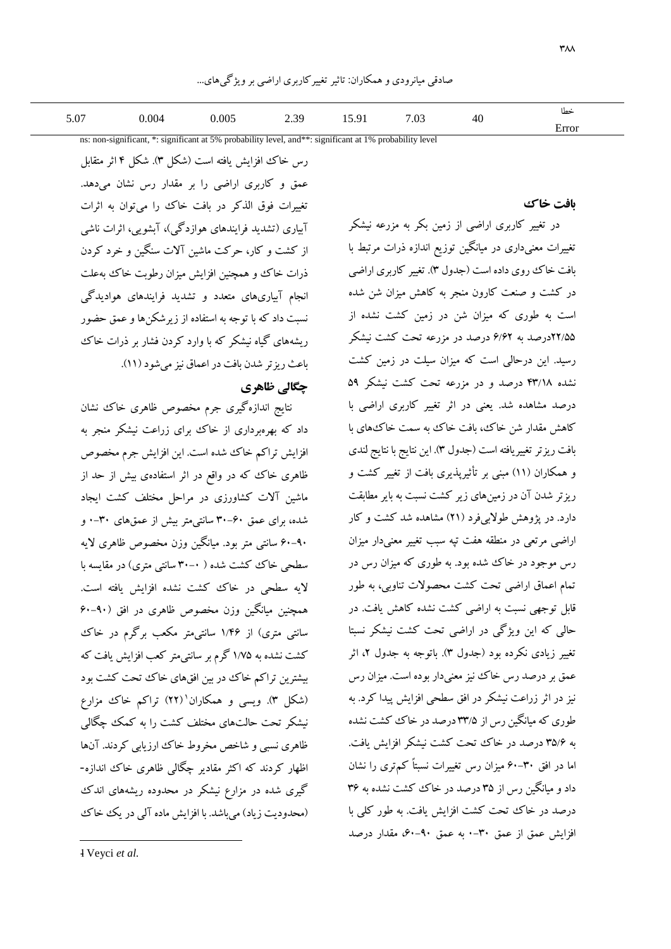| 5.07 | 004 | 0.005 | 30   | $\sim$<br>u. | $\overline{\phantom{0}}$<br>$\sim$ | $\sim$ | حطا             |
|------|-----|-------|------|--------------|------------------------------------|--------|-----------------|
|      |     | .     | رں،پ | 13.71        | $\overline{\mathsf{u}}$            | 40     | C <sub>CT</sub> |

ns: non-significant, \*: significant at 5% probability level, and\*\*: significant at 1% probability level

رس خاك افزایش یافته است )شکل 3(. شکل 4 اثر متقابل عمق و کاربری اراضی را بر مقدار رس نشان میدهد. تغییرات فوق الذکر در بافت خاك را میتوان به اثرات آبیاری )تشدید فرایندهای هوازدگی(، آبشویی، اثرات ناشی از کشت و کار، حرکت ماشین آالت سنگین و خرد کردن ذرات خاك و همچنین افزایش میزان رطوبت خاك بهعلت انجام آبیاریهای متعدد و تشدید فرایندهای هوادیدگی نسبت داد که با توجه به استفاده از زیرشکنها و عمق حضور ریشههای گیاه نیشکر که با وارد کردن فشار بر ذرات خاك باعث ریزتر شدن بافت در اعماق نیز میشود)11(.

### **چگالی ظاهري**

نتایج اندازهگیری جرم مخصوص ظاهری خاك نشان داد که بهرهبرداری از خاك برای زراعت نیشکر منجر به افزایش تراکم خاك شده است. این افزایش جرم مخصوص ظاهری خاك که در واقع در اثر استفادهی بیش از حد از ماشین آالت کشاورزی در مراحل مختلف کشت ایجاد شده، برای عمق 30-60 سانتیمتر بیش از عمقهای 0-30 و 60-90 سانتی متر بود. میانگین وزن مخصوص ظاهری الیه سطحی خاك کشت شده ) 30-0 سانتی متری( در مقایسه با الیه سطحی در خاك کشت نشده افزایش یافته است. همچنین میانگین وزن مخصوص ظاهری در افق )60-90 سانتی متری) از ۱/۴۶ سانتیمتر مکعب برگرم در خاك کشت نشده به 1/75 گرم بر سانتیمتر کعب افزایش یافت که بیشترین تراکم خاك در بین افقهای خاك تحت کشت بود (شکل ۳). ویسی و همکاران'(۲۲) تراکم خاک مزارع نیشکر تحت حالتهای مختلف کشت را به کمک چگالی ظاهری نسبی و شاخص مخروط خاك ارزیابی کردند. آنها اظهار کردند که اکثر مقادیر چگالی ظاهری خاك اندازه- گیری شده در مزارع نیشکر در محدوده ریشههای اندك (محدودیت زیاد) می باشد. با افزایش ماده آلی در یک خاك **بافت خاك**

در تغییر کاربری اراضی از زمین بکر به مزرعه نیشکر تغییرات معنیداری در میانگین توزیع اندازه ذرات مرتبط با بافت خاك روی داده است )جدول 3(. تغییر کاربری اراضی در کشت و صنعت کارون منجر به کاهش میزان شن شده است به طوری که میزان شن در زمین کشت نشده از 22/55درصد به 6/62 درصد در مزرعه تحت کشت نیشکر رسید. این درحالی است که میزان سیلت در زمین کشت نشده 43/18 درصد و در مزرعه تحت کشت نیشکر 59 درصد مشاهده شد. یعنی در اثر تغییر کاربری اراضی با کاهش مقدار شن خاك، بافت خاك به سمت خاكهای با بافت ریزتر تغییریافته است )جدول 3(. این نتایج با نتایج لندی و همکاران )11( مبنی بر تأثیرپذیری بافت از تغییر کشت و ریزتر شدن آن در زمینهای زیر کشت نسبت به بایر مطابقت دارد. در پژوهش طولابیفرد (۲۱) مشاهده شد کشت و کار اراضی مرتعی در منطقه هفت تپه سبب تغییر معنیدار میزان رس موجود در خاك شده بود. به طوری که میزان رس در تمام اعماق اراضی تحت کشت محصوالت تناوبی، به طور قابل توجهی نسبت به اراضی کشت نشده کاهش یافت. در حالی که این ویژگی در اراضی تحت کشت نیشکر نسبتا تغییر زیادی نکرده بود (جدول ۳). باتوجه به جدول ۲، اثر عمق بر درصد رس خاك نیز معنیدار بوده است. میزان رس نیز در اثر زراعت نیشکر در افق سطحی افزایش پیدا کرد. به طوری که میانگین رس از 33/5 درصد در خاك کشت نشده به 35/6 درصد در خاك تحت کشت نیشکر افزایش یافت. اما در افق 60-30 میزان رس تغییرات نسبتاً کمتری را نشان داد و میانگین رس از 35 درصد در خاك کشت نشده به 36 درصد در خاك تحت کشت افزایش یافت. به طور کلی با افزایش عمق از عمق 0-30 به عمق ،60-90 مقدار درصد

1- Veyci *et al.*

 $\overline{\phantom{a}}$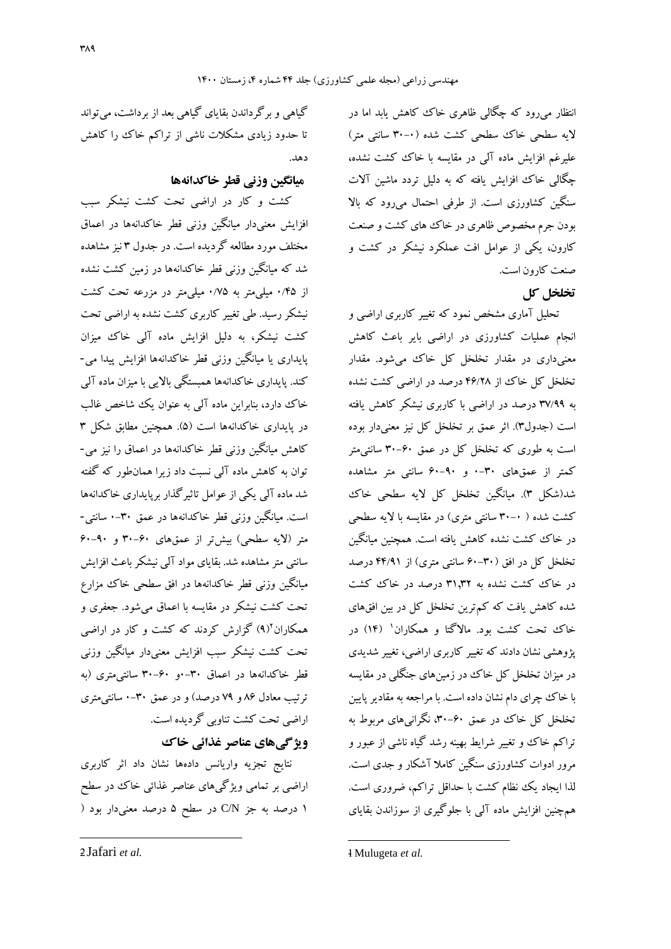انتظار میرود که چگالی ظاهری خاك کاهش یابد اما در لایه سطحی خاك سطحی كشت شده (۰-۳۰ سانتی متر) علیرغم افزایش ماده آلی در مقایسه با خاك کشت نشده، چگالی خاك افزایش یافته که به دلیل تردد ماشین آالت سنگین کشاورزی است. از طرفی احتمال میرود که باال بودن جرم مخصوص ظاهری در خاك های کشت و صنعت کارون، یکی از عوامل افت عملکرد نیشکر در کشت و صنعت کارون است.

## **تخلخل کل**

تحلیل آماری مشخص نمود که تغییر کاربری اراضی و انجام عملیات کشاورزی در اراضی بایر باعث کاهش معنیداری در مقدار تخلخل کل خاك میشود. مقدار تخلخل کل خاك از 46/28 درصد در اراضی کشت نشده به 37/99 درصد در اراضی با کاربری نیشکر کاهش یافته است )جدول3(. اثر عمق بر تخلخل کل نیز معنیدار بوده است به طوری که تخلخل کل در عمق 30-60 سانتیمتر کمتر از عمقهای 0-30 و 60-90 سانتی متر مشاهده شد)شکل 3(. میانگین تخلخل کل الیه سطحی خاك کشت شده ) 30-0 سانتی متری( در مقایسه با الیه سطحی در خاك کشت نشده کاهش یافته است. همچنین میانگین تخلخل کل در افق )60-30 سانتی متری( از 44/91 درصد در خاك کشت نشده به 31.32 درصد در خاك کشت شده کاهش یافت که کمترین تخلخل کل در بین افقهای خاک تحت کشت بود. مالاگتا و همکاران<sup>۱</sup> (۱۴) در پژوهشی نشان دادند که تغییر کاربری اراضی، تغییر شدیدی در میزان تخلخل کل خاك در زمینهای جنگلی در مقایسه با خاك چرای دام نشان داده است. با مراجعه به مقادیر پایین تخلخل کل خاك در عمق ،30-60 نگرانیهای مربوط به تراکم خاك و تغییر شرایط بهینه رشد گیاه ناشی از عبور و مرور ادوات کشاورزی سنگین کامال آشکار و جدی است. لذا ایجاد یک نظام کشت با حداقل تراکم، ضروری است. همچنین افزایش ماده آلی با جلوگیری از سوزاندن بقایای

گیاهی و برگرداندن بقایای گیاهی بعد از برداشت، میتواند تا حدود زیادی مشکالت ناشی از تراکم خاك را کاهش دهد.

## **میانگین وزنی قطر خاکدانهها**

کشت و کار در اراضی تحت کشت نیشکر سبب افزایش معنیدار میانگین وزنی قطر خاکدانهها در اعماق مختلف مورد مطالعه گردیده است. در جدول 3 نیز مشاهده شد که میانگین وزنی قطر خاکدانهها در زمین کشت نشده از 0/45 میلیمتر به 0/75 میلیمتر در مزرعه تحت کشت نیشکر رسید. طی تغییر کاربری کشت نشده به اراضی تحت کشت نیشکر، به دلیل افزایش ماده آلی خاك میزان پایداری یا میانگین وزنی قطر خاکدانهها افزایش پیدا می- کند. پایداری خاکدانهها همبستگی باالیی با میزان ماده آلی خاك دارد، بنابراین ماده آلی به عنوان یک شاخص غالب در پایداری خاکدانهها است (۵). همچنین مطابق شکل ۳ کاهش میانگین وزنی قطر خاکدانهها در اعماق را نیز می- توان به کاهش ماده آلی نسبت داد زیرا همانطور که گفته شد ماده آلی یکی از عوامل تاثیرگذار برپایداری خاکدانهها است. میانگین وزنی قطر خاکدانهها در عمق 0-30 سانتی- متر )الیه سطحی( بیشتر از عمقهای 30-60 و 60-90 سانتی متر مشاهده شد. بقایای مواد آلی نیشکر باعث افزایش میانگین وزنی قطر خاکدانهها در افق سطحی خاك مزارع تحت کشت نیشکر در مقایسه با اعماق میشود. جعفری و <sup>2</sup> همکاران )9( گزارش کردند که کشت و کار در اراضی تحت کشت نیشکر سبب افزایش معنیدار میانگین وزنی قطر خاکدانهها در اعماق 0-30و 30-60 سانتیمتری )به ترتیب معادل ۸۶ و ۷۹ درصد) و در عمق ۳۰-۰ سانتی متری اراضی تحت کشت تناوبی گردیده است.

## **ویژگیهاي عناصر غذائی خاك**

نتایج تجزیه واریانس دادهها نشان داد اثر کاربری اراضی بر تمامی ویژگیهای عناصر غذائی خاك در سطح 1 درصد به جز N/C در سطح 5 درصد معنیدار بود )

**.** 

2- Jafari *et al.*

 $\overline{\phantom{a}}$ 

<sup>1-</sup> Mulugeta *et al.*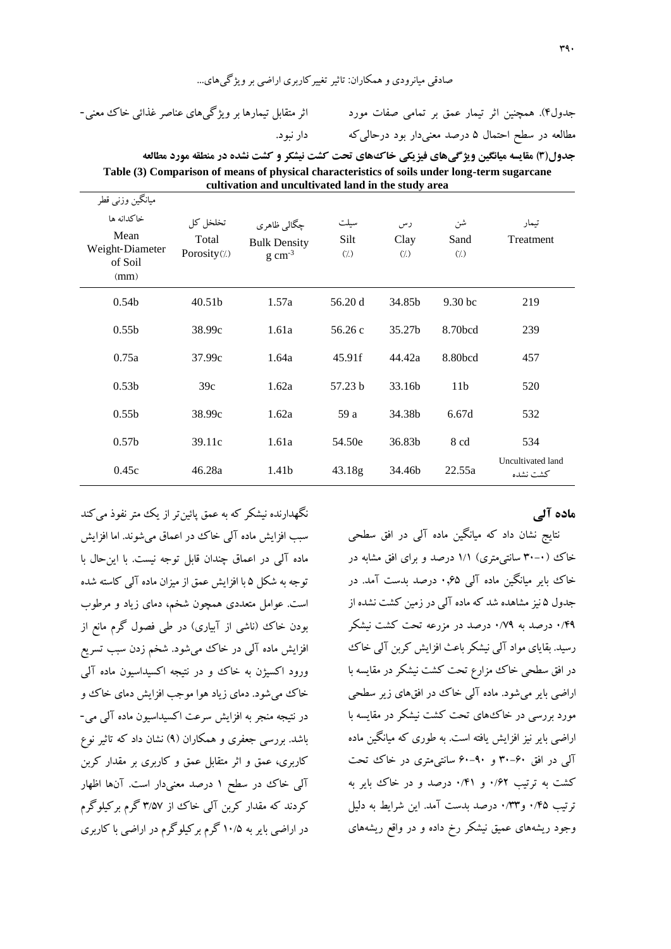صادقی میانرودی و همکاران: تاثیر تغییرکاربری اراضی بر ویژگیهای...

اثر متقابل تیمارها بر ویژگیهای عناصر غذائی خاك معنی- دار نبود.

جدول4(. همچنین اثر تیمار عمق بر تمامی صفات مورد مطالعه در سطح احتمال 5 درصد معنیدار بود درحالیکه

| جدول(٣) مقايسه ميانگين ويژگي@ي فيزيكي خاكّ هاي تحت كشت نيشكر و كشت نشده در منطقه مورد مطالعه |
|----------------------------------------------------------------------------------------------|
| Table (3) Comparison of means of physical characteristics of soils under long-term sugarcane |
| cultivation and uncultivated land in the study area                                          |

| میانگین وزنبی قطر<br>خاكدانه ها<br>Mean<br>Weight-Diameter<br>of Soil<br>(mm) | تخلخل كل<br>Total<br>Porosity(%) | چگالي ظاهري<br><b>Bulk Density</b><br>$g \text{ cm}^{-3}$ | سيلت<br>Silt<br>$\left(\frac{1}{2}\right)$ | رس<br>Clay<br>$\left(\frac{1}{2}\right)$ | شن<br>Sand<br>$\left(\frac{1}{2}\right)$ | تيمار<br>Treatment            |
|-------------------------------------------------------------------------------|----------------------------------|-----------------------------------------------------------|--------------------------------------------|------------------------------------------|------------------------------------------|-------------------------------|
| 0.54 <sub>b</sub>                                                             | 40.51 <sub>b</sub>               | 1.57a                                                     | 56.20 d                                    | 34.85b                                   | 9.30 <sub>bc</sub>                       | 219                           |
| 0.55 <sub>b</sub>                                                             | 38.99c                           | 1.61a                                                     | 56.26c                                     | 35.27b                                   | 8.70bcd                                  | 239                           |
| 0.75a                                                                         | 37.99c                           | 1.64a                                                     | 45.91f                                     | 44.42a                                   | 8.80bcd                                  | 457                           |
| 0.53 <sub>b</sub>                                                             | 39c                              | 1.62a                                                     | 57.23 b                                    | 33.16b                                   | 11 <sub>b</sub>                          | 520                           |
| 0.55 <sub>b</sub>                                                             | 38.99c                           | 1.62a                                                     | 59 a                                       | 34.38b                                   | 6.67d                                    | 532                           |
| 0.57 <sub>b</sub>                                                             | 39.11c                           | 1.61a                                                     | 54.50e                                     | 36.83b                                   | 8 cd                                     | 534                           |
| 0.45c                                                                         | 46.28a                           | 1.41b                                                     | 43.18 <sub>g</sub>                         | 34.46b                                   | 22.55a                                   | Uncultivated land<br>كشت نشده |

### **ماده آلی**

نتایج نشان داد که میانگین ماده آلی در افق سطحی خاك (۰-۳۰ سانتیمتری) ۱/۱ درصد و برای افق مشابه در خاك بایر میانگین ماده آلی 0.65 درصد بدست آمد. در جدول 5 نیز مشاهده شد که ماده آلی در زمین کشت نشده از 0/49 درصد به 0/79 درصد در مزرعه تحت کشت نیشکر رسید. بقایای مواد آلی نیشکر باعث افزایش کربن آلی خاك در افق سطحی خاك مزارع تحت کشت نیشکر در مقایسه با اراضی بایر میشود. ماده آلی خاك در افقهای زیر سطحی مورد بررسی در خاكهای تحت کشت نیشکر در مقایسه با اراضی بایر نیز افزایش یافته است. به طوری که میانگین ماده آلی در افق 30-60 و 60-90 سانتیمتری در خاك تحت کشت به ترتیب 0/62 و 0/41 درصد و در خاك بایر به ترتیب 0/45 و0/33 درصد بدست آمد. این شرایط به دلیل وجود ریشههای عمیق نیشکر رخ داده و در واقع ریشههای

نگهدارنده نیشکر که به عمق پائین تر از یک متر نفوذ می کند سبب افزایش ماده آلی خاك در اعماق میشوند. اما افزایش ماده آلی در اعماق چندان قابل توجه نیست. با اینحال با توجه به شکل 5 با افزایش عمق از میزان ماده آلی کاسته شده است. عوامل متعددی همچون شخم، دمای زیاد و مرطوب بودن خاك (ناشی از آبیاری) در طی فصول گرم مانع از افزایش ماده آلی در خاك میشود. شخم زدن سبب تسریع ورود اکسیژن به خاك و در نتیجه اکسیداسیون ماده آلی خاك میشود. دمای زیاد هوا موجب افزایش دمای خاك و در نتیجه منجر به افزایش سرعت اکسیداسیون ماده آلی می- باشد. بررسی جعفری و همکاران )9( نشان داد که تاثیر نوع کاربری، عمق و اثر متقابل عمق و کاربری بر مقدار کربن آلی خاك در سطح 1 درصد معنیدار است. آنها اظهار کردند که مقدار کربن آلی خاك از 3/57 گرم برکیلوگرم در اراضی بایر به 10/5 گرم برکیلوگرم در اراضی با کاربری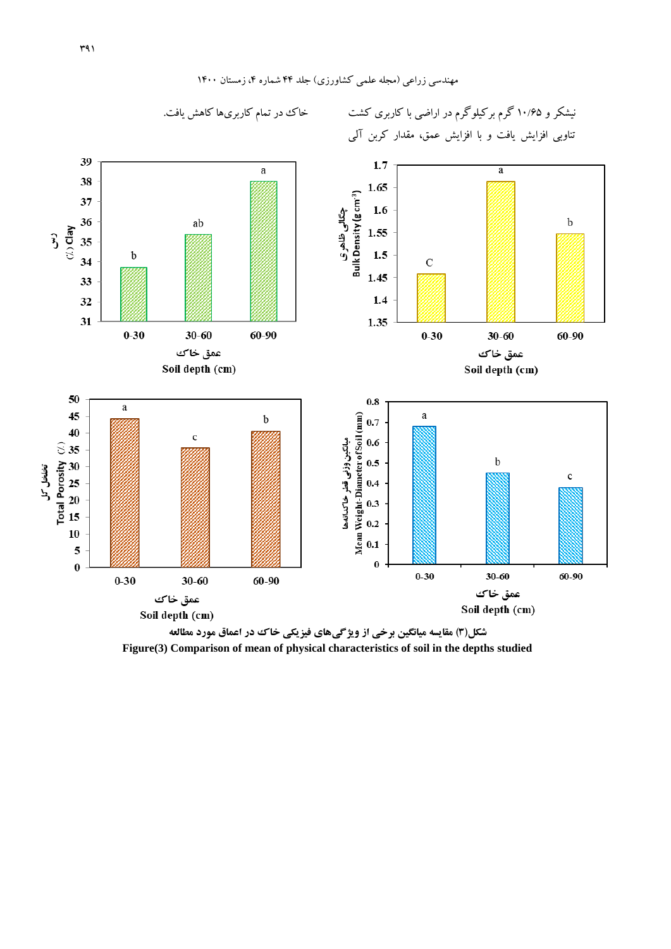

**شکل)3( مقایسه میانگین برخی از ویژگیهاي فیزیکی خاك در اعماق مورد مطالعه Figure(3) Comparison of mean of physical characteristics of soil in the depths studied**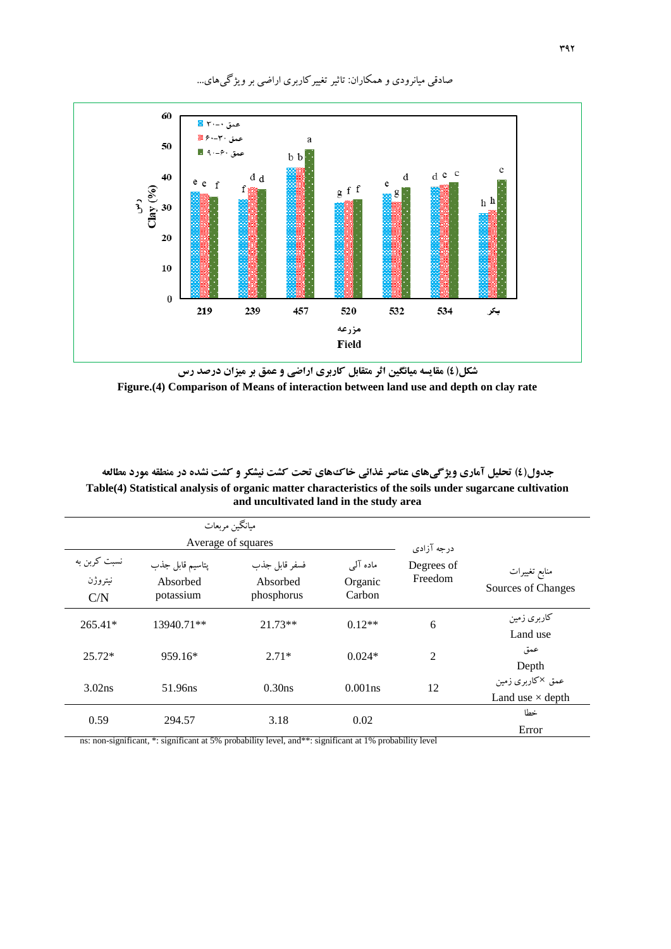

### صادقی میانرودی و همکاران: تاثیر تغییرکاربری اراضی بر ویژگیهای...

**شکل)4( مقایسه میانگین اثر متقابل کاربري اراضی و عمق بر میزان درصد رس Figure.(4) Comparison of Means of interaction between land use and depth on clay rate**

**جدول)4( تحلیل آماري ویژگیهاي عناصر غذائی خاكهاي تحت کشت نیشکر و کشت نشده در منطقه مورد مطالعه Table(4) Statistical analysis of organic matter characteristics of the soils under sugarcane cultivation and uncultivated land in the study area**

|                                |                                          | ميانگين مربعات<br>Average of squares    |                               | درجه آزادي            |                                             |
|--------------------------------|------------------------------------------|-----------------------------------------|-------------------------------|-----------------------|---------------------------------------------|
| نسبت کربن به<br>نيتروژن<br>C/N | پتاسيم قابل جذب<br>Absorbed<br>potassium | فسفر قابل جذب<br>Absorbed<br>phosphorus | ماده آلی<br>Organic<br>Carbon | Degrees of<br>Freedom | منابع تغييرات<br>Sources of Changes         |
| $265.41*$                      | 13940.71**                               | $21.73**$                               | $0.12**$                      | 6                     | کاربری زمین<br>Land use                     |
| $25.72*$                       | 959.16*                                  | $2.71*$                                 | $0.024*$                      | $\overline{2}$        | عمق<br>Depth                                |
| 3.02 <sub>ns</sub>             | 51.96ns                                  | 0.30ns                                  | $0.001$ ns                    | 12                    | عمق ×کاربری زمین<br>Land use $\times$ depth |
| 0.59                           | 294.57                                   | 3.18                                    | 0.02                          |                       | خطا<br>Error                                |

ns: non-significant, \*: significant at 5% probability level, and\*\*: significant at 1% probability level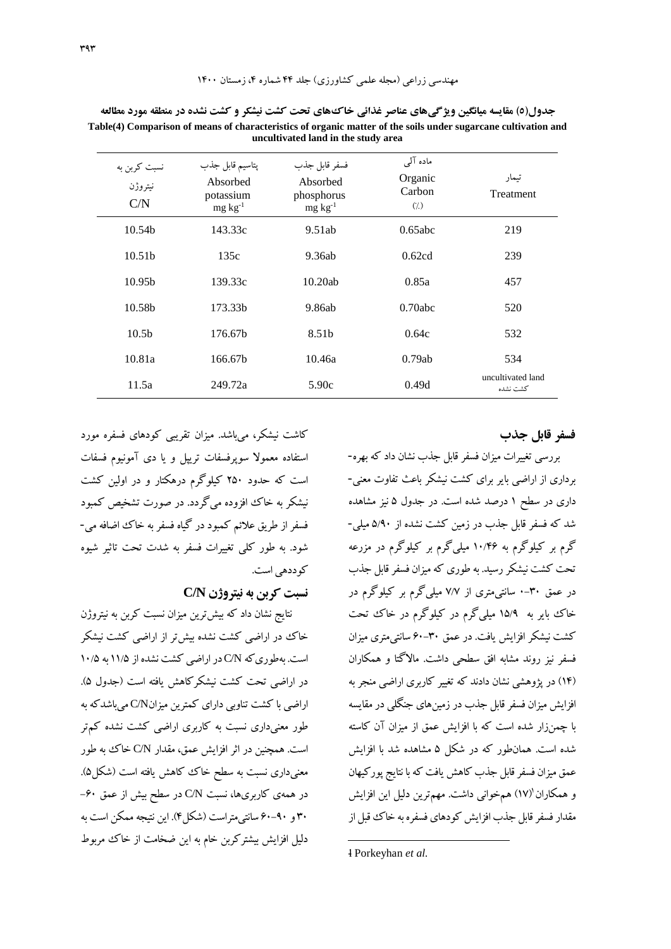| نسبت کربن به<br>نيتروژن<br>C/N | پتاسيم قابل جذب<br>Absorbed<br>potassium<br>$mg \, kg^{-1}$ | فسفر قابل جذب<br>Absorbed<br>phosphorus<br>$mg \, kg^{-1}$ | ماده آلی<br>Organic<br>Carbon<br>(7) | تيمار<br>Treatment            |
|--------------------------------|-------------------------------------------------------------|------------------------------------------------------------|--------------------------------------|-------------------------------|
| 10.54 <sub>b</sub>             | 143.33c                                                     | 9.51ab                                                     | $0.65$ abc                           | 219                           |
| 10.51 <sub>b</sub>             | 135c                                                        | 9.36ab                                                     | 0.62cd                               | 239                           |
| 10.95 <sub>b</sub>             | 139.33c                                                     | 10.20ab                                                    | 0.85a                                | 457                           |
| 10.58b                         | 173.33b                                                     | 9.86ab                                                     | $0.70$ abc                           | 520                           |
| 10.5 <sub>b</sub>              | 176.67b                                                     | 8.51 <sub>b</sub>                                          | 0.64c                                | 532                           |
| 10.81a                         | 166.67b                                                     | 10.46a                                                     | 0.79ab                               | 534                           |
| 11.5a                          | 249.72a                                                     | 5.90c                                                      | 0.49d                                | uncultivated land<br>كشت نشده |

**جدول)5( مقایسه میانگین ویژگیهاي عناصر غذائی خاكهاي تحت کشت نیشکر و کشت نشده در منطقه مورد مطالعه Table(4) Comparison of means of characteristics of organic matter of the soils under sugarcane cultivation and uncultivated land in the study area**

کاشت نیشکر، میباشد. میزان تقریبی کودهای فسفره مورد استفاده معموال سوپرفسفات تریپل و یا دی آمونیوم فسفات است که حدود 250 کیلوگرم درهکتار و در اولین کشت نیشکر به خاك افزوده میگردد. در صورت تشخیص کمبود فسفر از طریق عالئم کمبود در گیاه فسفر به خاك اضافه می- شود. به طور کلی تغییرات فسفر به شدت تحت تاثیر شیوه کوددهی است.

### **نسبت کربن به نیتروژن N/C**

نتایج نشان داد که بیشترین میزان نسبت کربن به نیتروژن خاك در اراضی کشت نشده بیشتر از اراضی کشت نیشکر است. بهطوریکه N/C در اراضی کشت نشده از 11/5 به 10/5 در اراضی تحت کشت نیشکرکاهش یافته است )جدول 5(. اراضی با کشت تناوبی دارای کمترین میزانN/C میباشدکه به طور معنیداری نسبت به کاربری اراضی کشت نشده کمتر است. همچنین در اثر افزایش عمق، مقدار N/C خاك به طور معنی داری نسبت به سطح خاك كاهش یافته است (شكل۵). در همهی کاربریها، نسبت N/C در سطح بیش از عمق -60 30 و 60-90 سانتیمتراست )شکل4(. این نتیجه ممکن است به دلیل افزایش بیشترکربن خام به این ضخامت از خاك مربوط

**فسفر قابل جذب**

بررسی تغییرات میزان فسفر قابل جذب نشان داد که بهره- برداری از اراضی بایر برای کشت نیشکر باعث تفاوت معنی- داری در سطح 1 درصد شده است. در جدول 5 نیز مشاهده شد که فسفر قابل جذب در زمین کشت نشده از 5/90 میلی- گرم بر کیلوگرم به 10/46 میلیگرم بر کیلوگرم در مزرعه تحت کشت نیشکر رسید. به طوری که میزان فسفر قابل جذب در عمق 0-30 سانتیمتری از 7/7 میلیگرم بر کیلوگرم در خاك بایر به 15/9 میلیگرم در کیلوگرم در خاك تحت کشت نیشکر افزایش یافت. در عمق 60-30 سانتیمتری میزان فسفر نیز روند مشابه افق سطحی داشت. ماالگتا و همکاران )14( در پژوهشی نشان دادند که تغییر کاربری اراضی منجر به افزایش میزان فسفر قابل جذب در زمینهای جنگلی در مقایسه با چمنزار شده است که با افزایش عمق از میزان آن کاسته شده است. همانطور که در شکل 5 مشاهده شد با افزایش عمق میزان فسفر قابل جذب کاهش یافت که با نتایجپورکیهان و همکاران (۱۷) همخوانی داشت. مهمترین دلیل این افزایش مقدار فسفر قابل جذب افزایش کودهای فسفره به خاك قبل از

**.** 

<sup>1-</sup> Porkeyhan *et al.*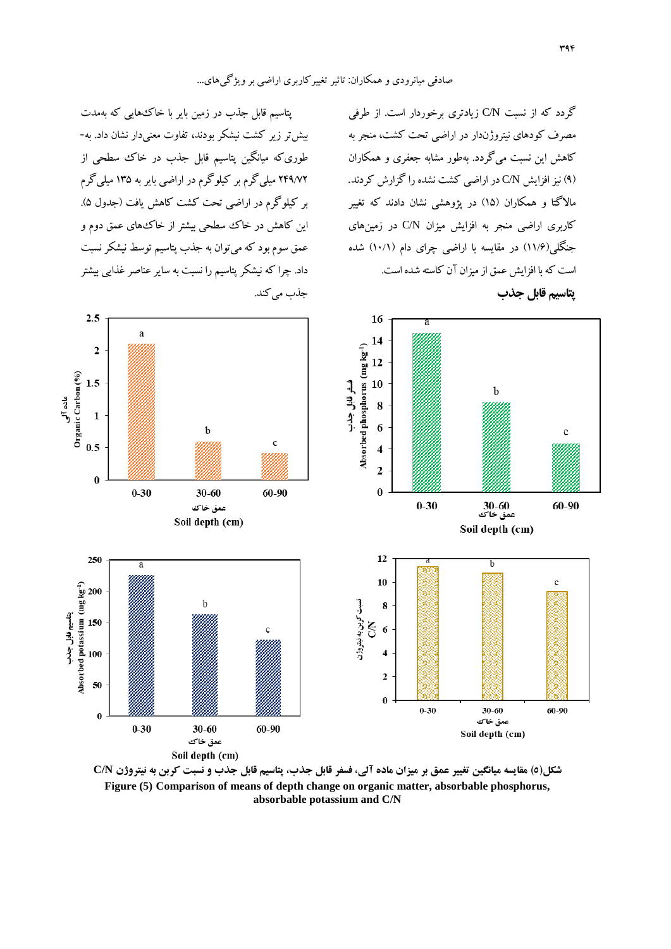پتاسیم قابل جذب در زمین بایر با خاكهایی که بهمدت بیشتر زیر کشت نیشکر بودند، تفاوت معنیدار نشان داد. به- طوریکه میانگین پتاسیم قابل جذب در خاك سطحی از 249/72 میلیگرم بر کیلوگرم در اراضی بایر به 135 میلیگرم بر کیلوگرم در اراضی تحت کشت کاهش یافت )جدول 5(. این کاهش در خاك سطحی بیشتر از خاكهای عمق دوم و عمق سوم بود که میتوان به جذب پتاسیم توسط نیشکر نسبت داد. چرا که نیشکر پتاسیم را نسبت به سایر عناصر غذایی بیشتر جذب می کند.

گردد که از نسبت N/C زیادتری برخوردار است. از طرفی مصرف کودهای نیتروژندار در اراضی تحت کشت، منجر به کاهش این نسبت میگردد. بهطور مشابه جعفری و همکاران )9( نیز افزایش N/C در اراضی کشت نشده را گزارش کردند. ماالگتا و همکاران )15( در پژوهشی نشان دادند که تغییر کاربری اراضی منجر به افزایش میزان N/C در زمینهای جنگلی(۱۱/۶) در مقایسه با اراضی چرای دام (۱۰/۱) شده است که با افزایش عمق از میزان آن کاسته شده است. **پتاسیم قابل جذب**



**شکل)5( مقایسه میانگین تغییر عمق بر میزان ماده آلی، فسفر قابل جذب، پتاسیم قابل جذب و نسبت کربن به نیتروژن N/C Figure (5) Comparison of means of depth change on organic matter, absorbable phosphorus, absorbable potassium and C/N**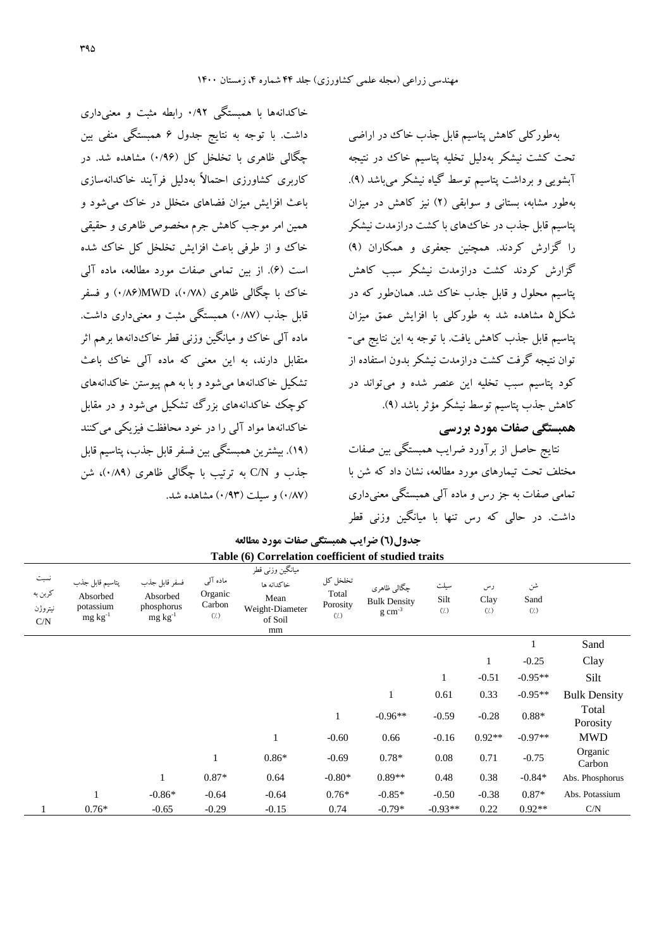بهطورکلی کاهش پتاسیم قابل جذب خاك در اراضی تحت کشت نیشکر بهدلیل تخلیه پتاسیم خاك در نتیجه آبشویی و برداشت پتاسیم توسط گیاه نیشکر میباشد )9(. بهطور مشابه، بستانی و سوابقی )2( نیز کاهش در میزان پتاسیم قابل جذب در خاكهای با کشت درازمدت نیشکر را گزارش کردند. همچنین جعفری و همکاران )9( گزارش کردند کشت درازمدت نیشکر سبب کاهش پتاسیم محلول و قابل جذب خاك شد. همانطور که در شکل5 مشاهده شد به طورکلی با افزایش عمق میزان پتاسیم قابل جذب کاهش یافت. با توجه به این نتایج می- توان نتیجه گرفت کشت درازمدت نیشکر بدون استفاده از کود پتاسیم سبب تخلیه این عنصر شده و میتواند در کاهش جذب پتاسیم توسط نیشکر مؤثر باشد )9(.

**همبستگی صفات مورد بررسی**

نتایج حاصل از برآورد ضرایب همبستگی بین صفات مختلف تحت تیمارهای مورد مطالعه، نشان داد که شن با تمامی صفات به جز رس و ماده آلی همبستگی معنیداری داشت. در حالی که رس تنها با میانگین وزنی قطر

شن Sand  $($ <sup>'</sup> $)$ رس Clay  $\left(\dot{}/\dot{}\right)$ سیلت Silt  $($ <sup>'</sup> $)$ چگالی ظاهری Bulk Density  $\rm g\ cm^{\text{-}3}$ تخلخل کل Total Porosity  $(7)$ میانگین وزنی قطر خاکدانه ها Mean Weight‐Diameter of Soil mm ماده آلی Organic Carbon  $(1)$ فسفر قابل جذب Absorbed phosphorus mg  $kg^{-1}$ پتاسیم قابل جذب Absorbed potassium mg  $kg^{-1}$ نسبت کربن به نیتروژن C/N 1 Sand 1 -0.25 Clay 1 -0.51 -0.95\*\* Silt 1 0.61 0.33 -0.95\*\* Bulk Density Total 1 -0.96<sup>\*\*</sup> -0.59 -0.28 0.88<sup>\*</sup> Porosity 1 -0.60 0.66 -0.16 0.92\*\* -0.97\*\* MWD Organic  $0.86*$   $-0.69$   $0.78*$   $0.08$   $0.71$   $-0.75$   $\text{Carbon}$ 1 0.87\* 0.64 -0.80\* 0.89\*\* 0.48 0.38 -0.84\* Abs. Phosphorus 1 -0.86\* -0.64 -0.64 0.76\* -0.85\* -0.50 -0.38 0.87\* Abs. Potassium 1  $0.76*$   $-0.65$   $-0.29$   $-0.15$   $0.74$   $-0.79*$   $-0.93**$   $0.22$   $0.92**$  C/N

**جدول(6) ضرایب همبستگی صفات مورد مطالعه Table (6) Correlation coefficient of studied traits**

خاکدانهها با همبستگی 0/92 رابطه مثبت و معنیداری

داشت. با توجه به نتایج جدول 6 همبستگی منفی بین چگالی ظاهری با تخلخل کل )0/96( مشاهده شد. در

کاربری کشاورزی احتماالً بهدلیل فرآیند خاکدانهسازی

باعث افزایش میزان فضاهای متخلل در خاك میشود و همین امر موجب کاهش جرم مخصوص ظاهری و حقیقی خاك و از طرفی باعث افزایش تخلخل کل خاك شده

است )6(. از بین تمامی صفات مورد مطالعه، ماده آلی خاك با چگالی ظاهری )0/78(، MWD(0/86 )و فسفر قابل جذب (۰/۸۷) همستگی مثبت و معنیداری داشت.

ماده آلی خاك و میانگین وزنی قطر خاكدانهها برهم اثر متقابل دارند، به این معنی که ماده آلی خاك باعث تشکیل خاکدانهها میشود و با به هم پیوستن خاکدانههای

کوچک خاکدانههای بزرگ تشکیل میشود و در مقابل خاکدانهها مواد آلی را در خود محافظت فیزیکی میکنند

)19(. بیشترین همبستگی بین فسفر قابل جذب، پتاسیم قابل جذب و C/N به ترتیب با چگالی ظاهری (۰/۸۹)، شن

)0/87( و سیلت )0/93( مشاهده شد.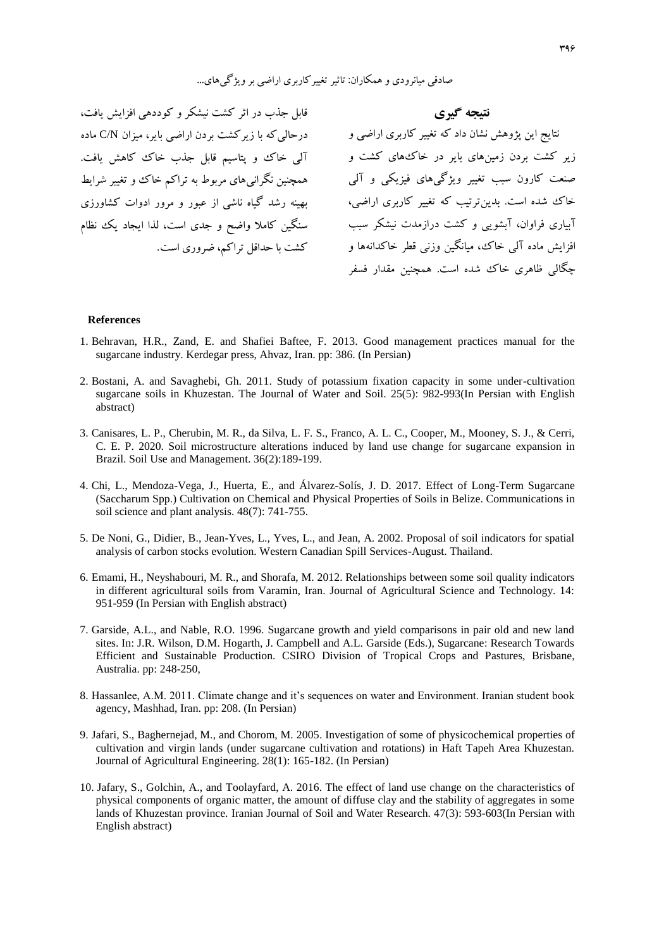نتایج این پژوهش نشان داد که تغییر کاربری اراضی و درحالیکه با زیرکشت بردن اراضی بایر، میزان N/C ماده قابل جذب در اثر کشت نیشکر و کوددهی افزایش یافت، همچنین نگرانیهای مربوط به تراکم خاك و تغییر شرایط بهینه رشد گیاه ناشی از عبور و مرور ادوات کشاورزی

**نتیجه گیري** زیر کشت بردن زمینهای بایر در خاكهای کشت و آلی خاك و پتاسیم قابل جذب خاك کاهش یافت. صنعت کارون سبب تغییر ویژگیهای فیزیکی و آلی خاك شده است. بدینترتیب که تغییر کاربری اراضی، آبیاری فراوان، آبشویی و کشت درازمدت نیشکر سبب سنگین کامال واضح و جدی است، لذا ایجاد یک نظام افزایش ماده آلی خاك، میانگین وزنی قطر خاکدانهها و کشت با حداقل تراکم، ضروری است. چگالی ظاهری خاك شده است. همچنین مقدار فسفر

#### **References**

- 1. Behravan, H.R., Zand, E. and Shafiei Baftee, F. 2013. Good management practices manual for the sugarcane industry. Kerdegar press, Ahvaz, Iran. pp: 386. (In Persian)
- 2. Bostani, A. and Savaghebi, Gh. 2011. Study of potassium fixation capacity in some under-cultivation sugarcane soils in Khuzestan. The Journal of Water and Soil. 25(5): 982-993(In Persian with English abstract)
- 3. Canisares, L. P., Cherubin, M. R., da Silva, L. F. S., Franco, A. L. C., Cooper, M., Mooney, S. J., & Cerri, C. E. P. 2020. Soil microstructure alterations induced by land use change for sugarcane expansion in Brazil. Soil Use and Management. 36(2):189-199.
- 4. Chi, L., Mendoza-Vega, J., Huerta, E., and Álvarez-Solís, J. D. 2017. Effect of Long-Term Sugarcane (Saccharum Spp.) Cultivation on Chemical and Physical Properties of Soils in Belize. Communications in soil science and plant analysis. 48(7): 741-755.
- 5. De Noni, G., Didier, B., Jean-Yves, L., Yves, L., and Jean, A. 2002. Proposal of soil indicators for spatial analysis of carbon stocks evolution. Western Canadian Spill Services-August. Thailand.
- 6. Emami, H., Neyshabouri, M. R., and Shorafa, M. 2012. Relationships between some soil quality indicators in different agricultural soils from Varamin, Iran. Journal of Agricultural Science and Technology. 14: 951-959 (In Persian with English abstract)
- 7. Garside, A.L., and Nable, R.O. 1996. Sugarcane growth and yield comparisons in pair old and new land sites. In: J.R. Wilson, D.M. Hogarth, J. Campbell and A.L. Garside (Eds.), Sugarcane: Research Towards Efficient and Sustainable Production. CSIRO Division of Tropical Crops and Pastures, Brisbane, Australia. pp: 248-250,
- 8. Hassanlee, A.M. 2011. Climate change and it's sequences on water and Environment. Iranian student book agency, Mashhad, Iran. pp: 208. (In Persian)
- 9. Jafari, S., Baghernejad, M., and Chorom, M. 2005. Investigation of some of physicochemical properties of cultivation and virgin lands (under sugarcane cultivation and rotations) in Haft Tapeh Area Khuzestan. Journal of Agricultural Engineering. 28(1): 165-182. (In Persian)
- 10. Jafary, S., Golchin, A., and Toolayfard, A. 2016. The effect of land use change on the characteristics of physical components of organic matter, the amount of diffuse clay and the stability of aggregates in some lands of Khuzestan province. Iranian Journal of Soil and Water Research. 47(3): 593-603(In Persian with English abstract)